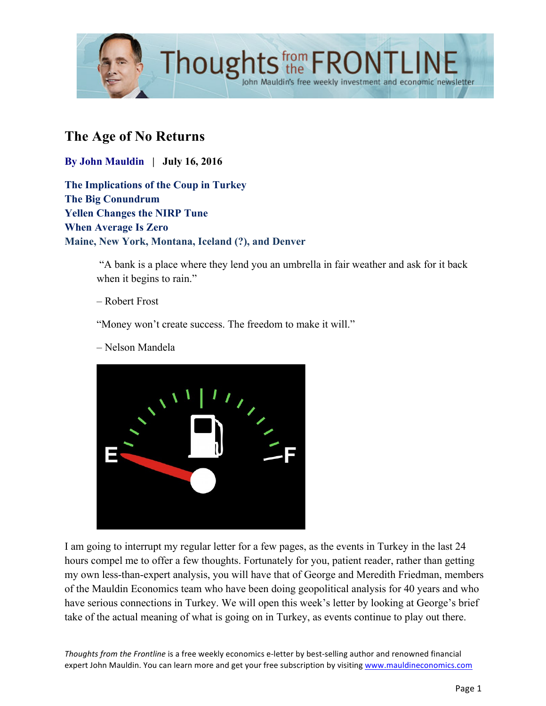

# **The Age of No Returns**

**By John Mauldin | July 16, 2016**

**The Implications of the Coup in Turkey The Big Conundrum Yellen Changes the NIRP Tune When Average Is Zero Maine, New York, Montana, Iceland (?), and Denver**

> "A bank is a place where they lend you an umbrella in fair weather and ask for it back when it begins to rain."

#### – Robert Frost

"Money won't create success. The freedom to make it will."

– Nelson Mandela



I am going to interrupt my regular letter for a few pages, as the events in Turkey in the last 24 hours compel me to offer a few thoughts. Fortunately for you, patient reader, rather than getting my own less-than-expert analysis, you will have that of George and Meredith Friedman, members of the Mauldin Economics team who have been doing geopolitical analysis for 40 years and who have serious connections in Turkey. We will open this week's letter by looking at George's brief take of the actual meaning of what is going on in Turkey, as events continue to play out there.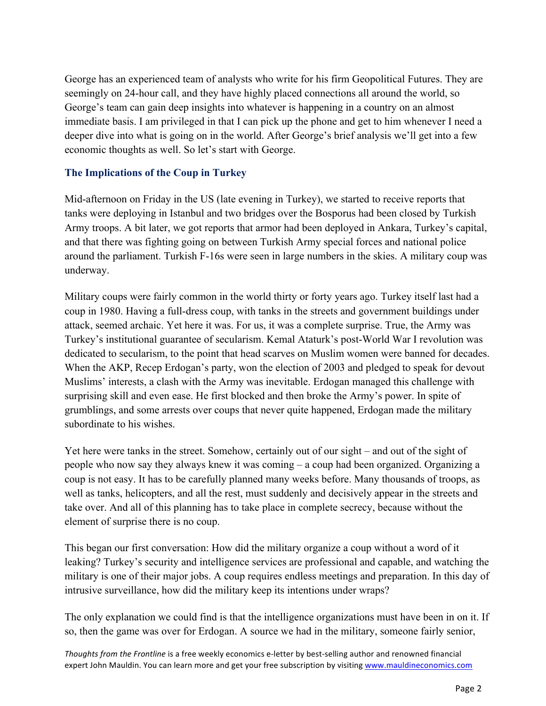George has an experienced team of analysts who write for his firm Geopolitical Futures. They are seemingly on 24-hour call, and they have highly placed connections all around the world, so George's team can gain deep insights into whatever is happening in a country on an almost immediate basis. I am privileged in that I can pick up the phone and get to him whenever I need a deeper dive into what is going on in the world. After George's brief analysis we'll get into a few economic thoughts as well. So let's start with George.

#### **The Implications of the Coup in Turkey**

Mid-afternoon on Friday in the US (late evening in Turkey), we started to receive reports that tanks were deploying in Istanbul and two bridges over the Bosporus had been closed by Turkish Army troops. A bit later, we got reports that armor had been deployed in Ankara, Turkey's capital, and that there was fighting going on between Turkish Army special forces and national police around the parliament. Turkish F-16s were seen in large numbers in the skies. A military coup was underway.

Military coups were fairly common in the world thirty or forty years ago. Turkey itself last had a coup in 1980. Having a full-dress coup, with tanks in the streets and government buildings under attack, seemed archaic. Yet here it was. For us, it was a complete surprise. True, the Army was Turkey's institutional guarantee of secularism. Kemal Ataturk's post-World War I revolution was dedicated to secularism, to the point that head scarves on Muslim women were banned for decades. When the AKP, Recep Erdogan's party, won the election of 2003 and pledged to speak for devout Muslims' interests, a clash with the Army was inevitable. Erdogan managed this challenge with surprising skill and even ease. He first blocked and then broke the Army's power. In spite of grumblings, and some arrests over coups that never quite happened, Erdogan made the military subordinate to his wishes.

Yet here were tanks in the street. Somehow, certainly out of our sight – and out of the sight of people who now say they always knew it was coming – a coup had been organized. Organizing a coup is not easy. It has to be carefully planned many weeks before. Many thousands of troops, as well as tanks, helicopters, and all the rest, must suddenly and decisively appear in the streets and take over. And all of this planning has to take place in complete secrecy, because without the element of surprise there is no coup.

This began our first conversation: How did the military organize a coup without a word of it leaking? Turkey's security and intelligence services are professional and capable, and watching the military is one of their major jobs. A coup requires endless meetings and preparation. In this day of intrusive surveillance, how did the military keep its intentions under wraps?

The only explanation we could find is that the intelligence organizations must have been in on it. If so, then the game was over for Erdogan. A source we had in the military, someone fairly senior,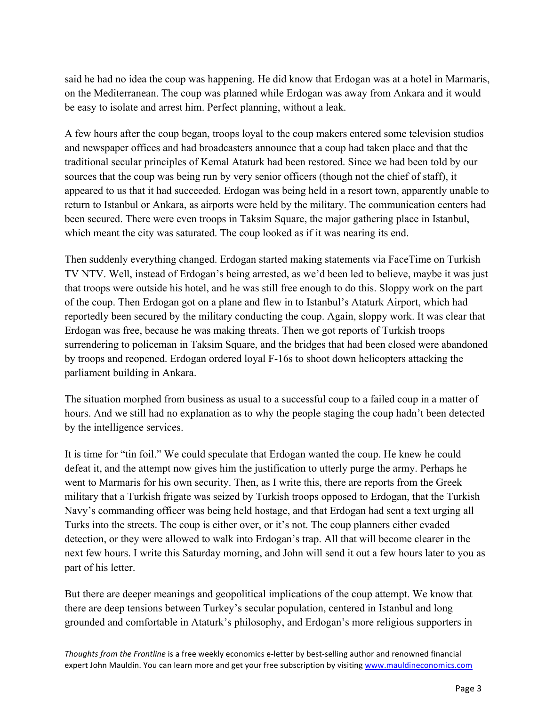said he had no idea the coup was happening. He did know that Erdogan was at a hotel in Marmaris, on the Mediterranean. The coup was planned while Erdogan was away from Ankara and it would be easy to isolate and arrest him. Perfect planning, without a leak.

A few hours after the coup began, troops loyal to the coup makers entered some television studios and newspaper offices and had broadcasters announce that a coup had taken place and that the traditional secular principles of Kemal Ataturk had been restored. Since we had been told by our sources that the coup was being run by very senior officers (though not the chief of staff), it appeared to us that it had succeeded. Erdogan was being held in a resort town, apparently unable to return to Istanbul or Ankara, as airports were held by the military. The communication centers had been secured. There were even troops in Taksim Square, the major gathering place in Istanbul, which meant the city was saturated. The coup looked as if it was nearing its end.

Then suddenly everything changed. Erdogan started making statements via FaceTime on Turkish TV NTV. Well, instead of Erdogan's being arrested, as we'd been led to believe, maybe it was just that troops were outside his hotel, and he was still free enough to do this. Sloppy work on the part of the coup. Then Erdogan got on a plane and flew in to Istanbul's Ataturk Airport, which had reportedly been secured by the military conducting the coup. Again, sloppy work. It was clear that Erdogan was free, because he was making threats. Then we got reports of Turkish troops surrendering to policeman in Taksim Square, and the bridges that had been closed were abandoned by troops and reopened. Erdogan ordered loyal F-16s to shoot down helicopters attacking the parliament building in Ankara.

The situation morphed from business as usual to a successful coup to a failed coup in a matter of hours. And we still had no explanation as to why the people staging the coup hadn't been detected by the intelligence services.

It is time for "tin foil." We could speculate that Erdogan wanted the coup. He knew he could defeat it, and the attempt now gives him the justification to utterly purge the army. Perhaps he went to Marmaris for his own security. Then, as I write this, there are reports from the Greek military that a Turkish frigate was seized by Turkish troops opposed to Erdogan, that the Turkish Navy's commanding officer was being held hostage, and that Erdogan had sent a text urging all Turks into the streets. The coup is either over, or it's not. The coup planners either evaded detection, or they were allowed to walk into Erdogan's trap. All that will become clearer in the next few hours. I write this Saturday morning, and John will send it out a few hours later to you as part of his letter.

But there are deeper meanings and geopolitical implications of the coup attempt. We know that there are deep tensions between Turkey's secular population, centered in Istanbul and long grounded and comfortable in Ataturk's philosophy, and Erdogan's more religious supporters in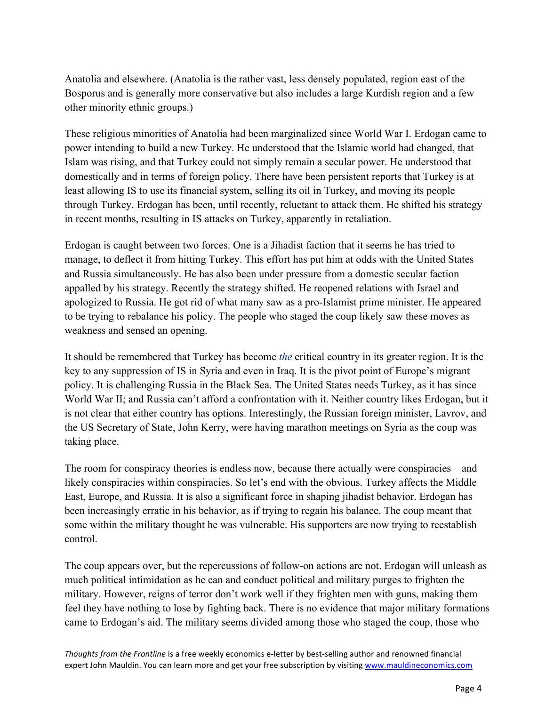Anatolia and elsewhere. (Anatolia is the rather vast, less densely populated, region east of the Bosporus and is generally more conservative but also includes a large Kurdish region and a few other minority ethnic groups.)

These religious minorities of Anatolia had been marginalized since World War I. Erdogan came to power intending to build a new Turkey. He understood that the Islamic world had changed, that Islam was rising, and that Turkey could not simply remain a secular power. He understood that domestically and in terms of foreign policy. There have been persistent reports that Turkey is at least allowing IS to use its financial system, selling its oil in Turkey, and moving its people through Turkey. Erdogan has been, until recently, reluctant to attack them. He shifted his strategy in recent months, resulting in IS attacks on Turkey, apparently in retaliation.

Erdogan is caught between two forces. One is a Jihadist faction that it seems he has tried to manage, to deflect it from hitting Turkey. This effort has put him at odds with the United States and Russia simultaneously. He has also been under pressure from a domestic secular faction appalled by his strategy. Recently the strategy shifted. He reopened relations with Israel and apologized to Russia. He got rid of what many saw as a pro-Islamist prime minister. He appeared to be trying to rebalance his policy. The people who staged the coup likely saw these moves as weakness and sensed an opening.

It should be remembered that Turkey has become *the* critical country in its greater region. It is the key to any suppression of IS in Syria and even in Iraq. It is the pivot point of Europe's migrant policy. It is challenging Russia in the Black Sea. The United States needs Turkey, as it has since World War II; and Russia can't afford a confrontation with it. Neither country likes Erdogan, but it is not clear that either country has options. Interestingly, the Russian foreign minister, Lavrov, and the US Secretary of State, John Kerry, were having marathon meetings on Syria as the coup was taking place.

The room for conspiracy theories is endless now, because there actually were conspiracies – and likely conspiracies within conspiracies. So let's end with the obvious. Turkey affects the Middle East, Europe, and Russia. It is also a significant force in shaping jihadist behavior. Erdogan has been increasingly erratic in his behavior, as if trying to regain his balance. The coup meant that some within the military thought he was vulnerable. His supporters are now trying to reestablish control.

The coup appears over, but the repercussions of follow-on actions are not. Erdogan will unleash as much political intimidation as he can and conduct political and military purges to frighten the military. However, reigns of terror don't work well if they frighten men with guns, making them feel they have nothing to lose by fighting back. There is no evidence that major military formations came to Erdogan's aid. The military seems divided among those who staged the coup, those who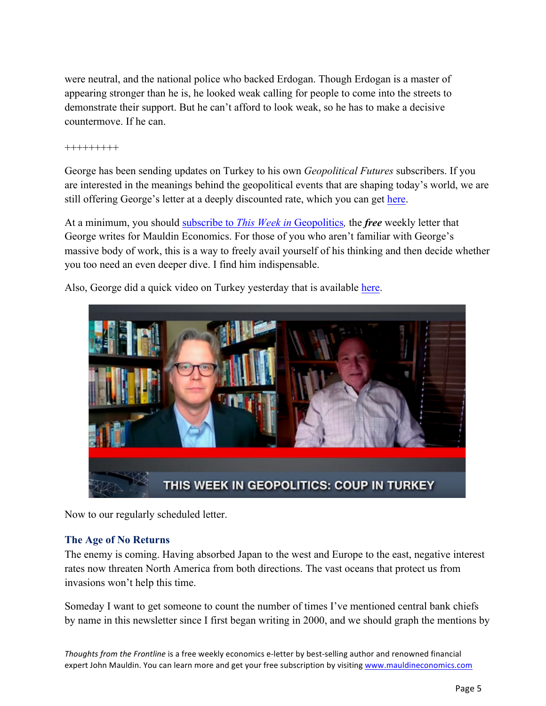were neutral, and the national police who backed Erdogan. Though Erdogan is a master of appearing stronger than he is, he looked weak calling for people to come into the streets to demonstrate their support. But he can't afford to look weak, so he has to make a decisive countermove. If he can.

+++++++++

George has been sending updates on Turkey to his own *Geopolitical Futures* subscribers. If you are interested in the meanings behind the geopolitical events that are shaping today's world, we are still offering George's letter at a deeply discounted rate, which you can get [here.](http://email.mauldineconomics.com/wf/click?upn=U8GusXYvzQrI-2BTfpBInOiw4cuS1SqQfCbK1N-2BAM97HF4HBtCmtnDwx9x1mIfsnDeKt4MZKUuddYvlbRf3pzsZw-3D-3D_J0txJ8iNCrnyeKmKwD7r5ULpD8x8eRCbxTSGHiwcqvQYUBPW4ePEsogd2o-2Blqt-2BzxlPnN6Lse8x4Bw20Ve5P8cWk2gr43bGUaOBP8H0yfw8iktsup2qjjtqcOFfavW6k2vS8bX0ml-2Fn58EMxnvSSb5L3czlaqs9T-2FiQR2yMy9xxea1EmxE3O3lJSYr9dgwpX51PtRVkPY-2Bkni99eiAWDnn4EGH-2BryuKpW6EACl82gMGGxhqUYV1uYYs8AmcQqbwCS8SBMRyHNrHJWJZxpjXNMw-3D-3D)

At a minimum, you should subscribe to *[This Week in](http://email.mauldineconomics.com/wf/click?upn=U8GusXYvzQrI-2BTfpBInOiw4cuS1SqQfCbK1N-2BAM97HG4J7DmEVOBq602p9TRNesrsE59s60FKym-2F4nF-2Bcydhtw-3D-3D_J0txJ8iNCrnyeKmKwD7r5ULpD8x8eRCbxTSGHiwcqvQYUBPW4ePEsogd2o-2Blqt-2BzhFew9WL8qnvR8oeB0c-2FH3lYNnuZ04hxV-2Fxir1yjcVPQMtTooTqHOsELPpoTYlw5pbbHKFVg4MJydWz46nBGrnNI15eF7-2Fq-2BPz0rm6-2FUKT5dkq-2FSWx859cEVztxR-2ByYGRQeqOYUlCBIOIa7VIGPF1lp1FbaenP337mSVCVxt4zfAS6lK2kQrV7B4MgawCPQ7eFI3YGTuu27XYRaLSIkYZWQ-3D-3D)* Geopolitics*,* the *free* weekly letter that George writes for Mauldin Economics. For those of you who aren't familiar with George's massive body of work, this is a way to freely avail yourself of his thinking and then decide whether you too need an even deeper dive. I find him indispensable.

Also, George did a quick video on Turkey yesterday that is available [here.](https://www.youtube.com/watch?v=jOZ_sekEai8&feature=youtu.be) 



Now to our regularly scheduled letter.

### **The Age of No Returns**

The enemy is coming. Having absorbed Japan to the west and Europe to the east, negative interest rates now threaten North America from both directions. The vast oceans that protect us from invasions won't help this time.

Someday I want to get someone to count the number of times I've mentioned central bank chiefs by name in this newsletter since I first began writing in 2000, and we should graph the mentions by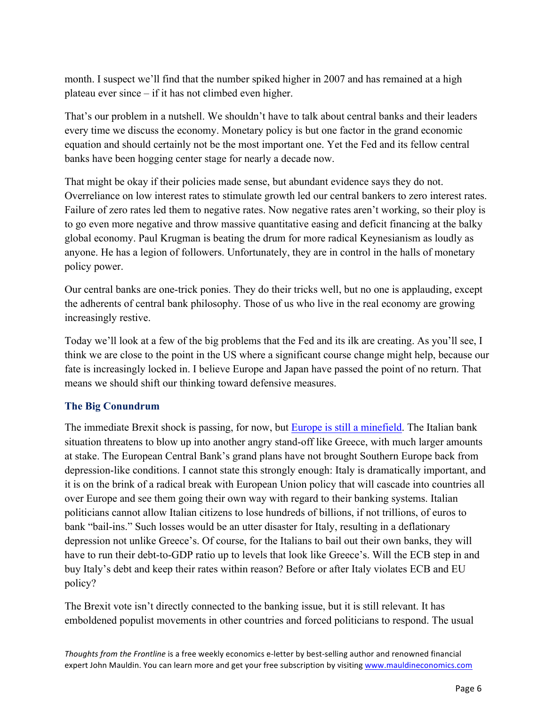month. I suspect we'll find that the number spiked higher in 2007 and has remained at a high plateau ever since – if it has not climbed even higher.

That's our problem in a nutshell. We shouldn't have to talk about central banks and their leaders every time we discuss the economy. Monetary policy is but one factor in the grand economic equation and should certainly not be the most important one. Yet the Fed and its fellow central banks have been hogging center stage for nearly a decade now.

That might be okay if their policies made sense, but abundant evidence says they do not. Overreliance on low interest rates to stimulate growth led our central bankers to zero interest rates. Failure of zero rates led them to negative rates. Now negative rates aren't working, so their ploy is to go even more negative and throw massive quantitative easing and deficit financing at the balky global economy. Paul Krugman is beating the drum for more radical Keynesianism as loudly as anyone. He has a legion of followers. Unfortunately, they are in control in the halls of monetary policy power.

Our central banks are one-trick ponies. They do their tricks well, but no one is applauding, except the adherents of central bank philosophy. Those of us who live in the real economy are growing increasingly restive.

Today we'll look at a few of the big problems that the Fed and its ilk are creating. As you'll see, I think we are close to the point in the US where a significant course change might help, because our fate is increasingly locked in. I believe Europe and Japan have passed the point of no return. That means we should shift our thinking toward defensive measures.

### **The Big Conundrum**

The immediate Brexit shock is passing, for now, but [Europe is still a minefield.](http://www.mauldineconomics.com/frontlinethoughts/europe-is-a-minefield) The Italian bank situation threatens to blow up into another angry stand-off like Greece, with much larger amounts at stake. The European Central Bank's grand plans have not brought Southern Europe back from depression-like conditions. I cannot state this strongly enough: Italy is dramatically important, and it is on the brink of a radical break with European Union policy that will cascade into countries all over Europe and see them going their own way with regard to their banking systems. Italian politicians cannot allow Italian citizens to lose hundreds of billions, if not trillions, of euros to bank "bail-ins." Such losses would be an utter disaster for Italy, resulting in a deflationary depression not unlike Greece's. Of course, for the Italians to bail out their own banks, they will have to run their debt-to-GDP ratio up to levels that look like Greece's. Will the ECB step in and buy Italy's debt and keep their rates within reason? Before or after Italy violates ECB and EU policy?

The Brexit vote isn't directly connected to the banking issue, but it is still relevant. It has emboldened populist movements in other countries and forced politicians to respond. The usual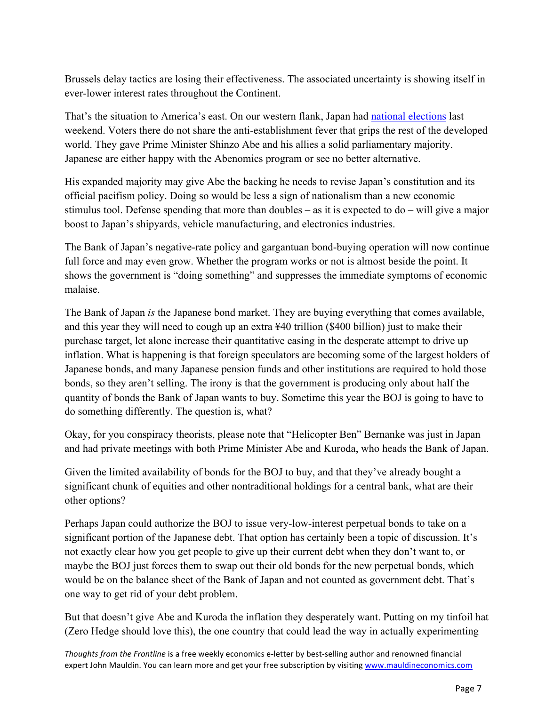Brussels delay tactics are losing their effectiveness. The associated uncertainty is showing itself in ever-lower interest rates throughout the Continent.

That's the situation to America's east. On our western flank, Japan had [national elections](http://nyti.ms/29r4NV7) last weekend. Voters there do not share the anti-establishment fever that grips the rest of the developed world. They gave Prime Minister Shinzo Abe and his allies a solid parliamentary majority. Japanese are either happy with the Abenomics program or see no better alternative.

His expanded majority may give Abe the backing he needs to revise Japan's constitution and its official pacifism policy. Doing so would be less a sign of nationalism than a new economic stimulus tool. Defense spending that more than doubles – as it is expected to do – will give a major boost to Japan's shipyards, vehicle manufacturing, and electronics industries.

The Bank of Japan's negative-rate policy and gargantuan bond-buying operation will now continue full force and may even grow. Whether the program works or not is almost beside the point. It shows the government is "doing something" and suppresses the immediate symptoms of economic malaise.

The Bank of Japan *is* the Japanese bond market. They are buying everything that comes available, and this year they will need to cough up an extra ¥40 trillion (\$400 billion) just to make their purchase target, let alone increase their quantitative easing in the desperate attempt to drive up inflation. What is happening is that foreign speculators are becoming some of the largest holders of Japanese bonds, and many Japanese pension funds and other institutions are required to hold those bonds, so they aren't selling. The irony is that the government is producing only about half the quantity of bonds the Bank of Japan wants to buy. Sometime this year the BOJ is going to have to do something differently. The question is, what?

Okay, for you conspiracy theorists, please note that "Helicopter Ben" Bernanke was just in Japan and had private meetings with both Prime Minister Abe and Kuroda, who heads the Bank of Japan.

Given the limited availability of bonds for the BOJ to buy, and that they've already bought a significant chunk of equities and other nontraditional holdings for a central bank, what are their other options?

Perhaps Japan could authorize the BOJ to issue very-low-interest perpetual bonds to take on a significant portion of the Japanese debt. That option has certainly been a topic of discussion. It's not exactly clear how you get people to give up their current debt when they don't want to, or maybe the BOJ just forces them to swap out their old bonds for the new perpetual bonds, which would be on the balance sheet of the Bank of Japan and not counted as government debt. That's one way to get rid of your debt problem.

But that doesn't give Abe and Kuroda the inflation they desperately want. Putting on my tinfoil hat (Zero Hedge should love this), the one country that could lead the way in actually experimenting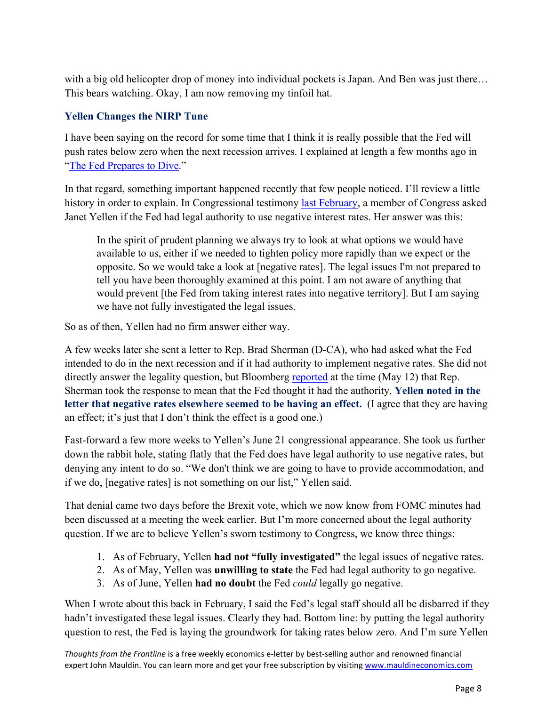with a big old helicopter drop of money into individual pockets is Japan. And Ben was just there... This bears watching. Okay, I am now removing my tinfoil hat.

## **Yellen Changes the NIRP Tune**

I have been saying on the record for some time that I think it is really possible that the Fed will push rates below zero when the next recession arrives. I explained at length a few months ago in ["The Fed Prepares to Dive."](http://www.mauldineconomics.com/frontlinethoughts/the-fed-prepares-to-dive)

In that regard, something important happened recently that few people noticed. I'll review a little history in order to explain. In Congressional testimony [last February,](http://www.businessinsider.com/janet-yellen-on-negative-interest-rates-2016-2) a member of Congress asked Janet Yellen if the Fed had legal authority to use negative interest rates. Her answer was this:

In the spirit of prudent planning we always try to look at what options we would have available to us, either if we needed to tighten policy more rapidly than we expect or the opposite. So we would take a look at [negative rates]. The legal issues I'm not prepared to tell you have been thoroughly examined at this point. I am not aware of anything that would prevent [the Fed from taking interest rates into negative territory]. But I am saying we have not fully investigated the legal issues.

So as of then, Yellen had no firm answer either way.

A few weeks later she sent a letter to Rep. Brad Sherman (D-CA), who had asked what the Fed intended to do in the next recession and if it had authority to implement negative rates. She did not directly answer the legality question, but Bloomberg [reported](http://www.bloomberg.com/news/articles/2016-05-12/yellen-doesn-t-rule-out-negative-rates-in-letter-to-congressman) at the time (May 12) that Rep. Sherman took the response to mean that the Fed thought it had the authority. **Yellen noted in the letter that negative rates elsewhere seemed to be having an effect.** (I agree that they are having an effect; it's just that I don't think the effect is a good one.)

Fast-forward a few more weeks to Yellen's June 21 congressional appearance. She took us further down the rabbit hole, stating flatly that the Fed does have legal authority to use negative rates, but denying any intent to do so. "We don't think we are going to have to provide accommodation, and if we do, [negative rates] is not something on our list," Yellen said.

That denial came two days before the Brexit vote, which we now know from FOMC minutes had been discussed at a meeting the week earlier. But I'm more concerned about the legal authority question. If we are to believe Yellen's sworn testimony to Congress, we know three things:

- 1. As of February, Yellen **had not "fully investigated"** the legal issues of negative rates.
- 2. As of May, Yellen was **unwilling to state** the Fed had legal authority to go negative.
- 3. As of June, Yellen **had no doubt** the Fed *could* legally go negative.

When I wrote about this back in February, I said the Fed's legal staff should all be disbarred if they hadn't investigated these legal issues. Clearly they had. Bottom line: by putting the legal authority question to rest, the Fed is laying the groundwork for taking rates below zero. And I'm sure Yellen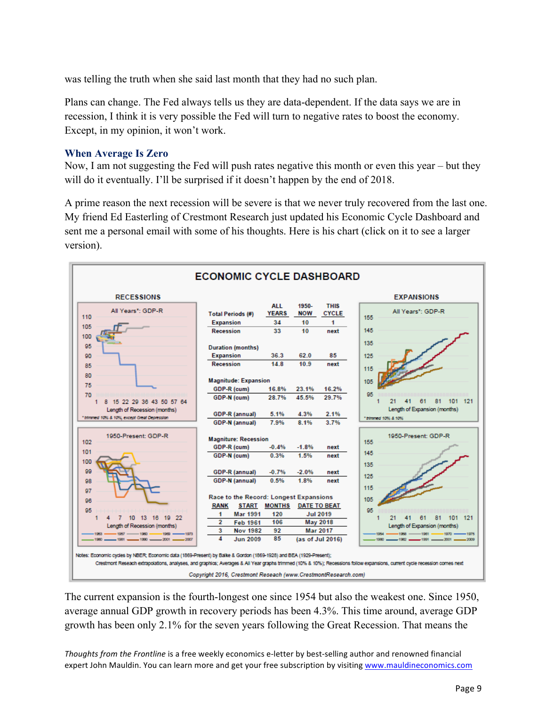was telling the truth when she said last month that they had no such plan.

Plans can change. The Fed always tells us they are data-dependent. If the data says we are in recession, I think it is very possible the Fed will turn to negative rates to boost the economy. Except, in my opinion, it won't work.

#### **When Average Is Zero**

Now, I am not suggesting the Fed will push rates negative this month or even this year – but they will do it eventually. I'll be surprised if it doesn't happen by the end of 2018.

A prime reason the next recession will be severe is that we never truly recovered from the last one. My friend Ed Easterling of Crestmont Research just updated his Economic Cycle Dashboard and sent me a personal email with some of his thoughts. Here is his chart (click on it to see a larger version).



The current expansion is the fourth-longest one since 1954 but also the weakest one. Since 1950, average annual GDP growth in recovery periods has been 4.3%. This time around, average GDP growth has been only 2.1% for the seven years following the Great Recession. That means the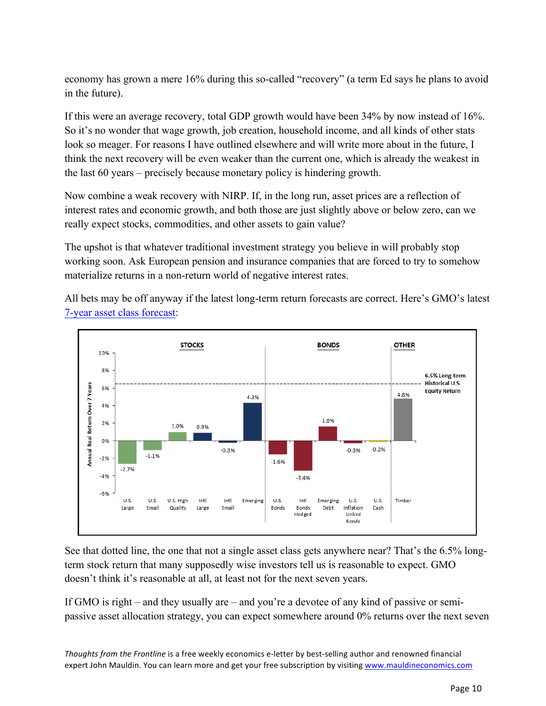economy has grown a mere 16% during this so-called "recovery" (a term Ed says he plans to avoid in the future).

If this were an average recovery, total GDP growth would have been 34% by now instead of 16%. So it's no wonder that wage growth, job creation, household income, and all kinds of other stats look so meager. For reasons I have outlined elsewhere and will write more about in the future, I think the next recovery will be even weaker than the current one, which is already the weakest in the last 60 years – precisely because monetary policy is hindering growth.

Now combine a weak recovery with NIRP. If, in the long run, asset prices are a reflection of interest rates and economic growth, and both those are just slightly above or below zero, can we really expect stocks, commodities, and other assets to gain value?

The upshot is that whatever traditional investment strategy you believe in will probably stop working soon. Ask European pension and insurance companies that are forced to try to somehow materialize returns in a non-return world of negative interest rates.

All bets may be off anyway if the latest long-term return forecasts are correct. Here's GMO's latest [7-year asset class forecast:](https://www.gmo.com/docs/default-source/research-and-commentary/strategies/asset-class-forecasts/gmo-7-year-asset-class-forecast-(jun2016).pdf?sfvrsn=4)



See that dotted line, the one that not a single asset class gets anywhere near? That's the 6.5% longterm stock return that many supposedly wise investors tell us is reasonable to expect. GMO doesn't think it's reasonable at all, at least not for the next seven years.

If GMO is right – and they usually are – and you're a devotee of any kind of passive or semipassive asset allocation strategy, you can expect somewhere around 0% returns over the next seven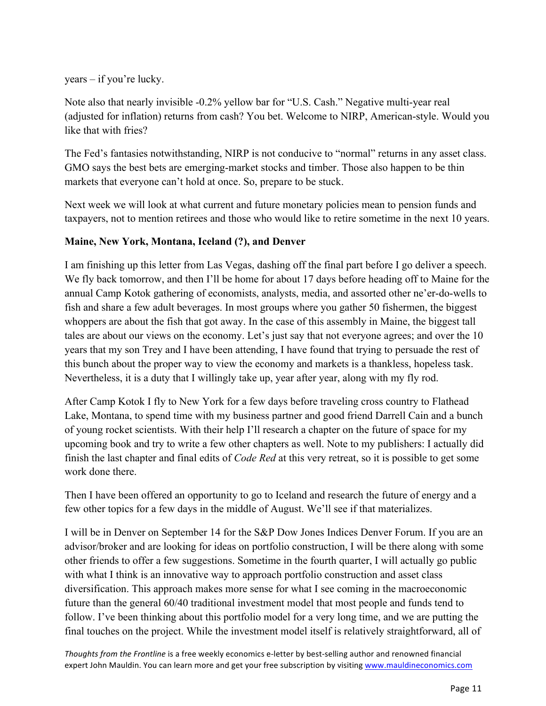years – if you're lucky.

Note also that nearly invisible -0.2% yellow bar for "U.S. Cash." Negative multi-year real (adjusted for inflation) returns from cash? You bet. Welcome to NIRP, American-style. Would you like that with fries?

The Fed's fantasies notwithstanding, NIRP is not conducive to "normal" returns in any asset class. GMO says the best bets are emerging-market stocks and timber. Those also happen to be thin markets that everyone can't hold at once. So, prepare to be stuck.

Next week we will look at what current and future monetary policies mean to pension funds and taxpayers, not to mention retirees and those who would like to retire sometime in the next 10 years.

#### **Maine, New York, Montana, Iceland (?), and Denver**

I am finishing up this letter from Las Vegas, dashing off the final part before I go deliver a speech. We fly back tomorrow, and then I'll be home for about 17 days before heading off to Maine for the annual Camp Kotok gathering of economists, analysts, media, and assorted other ne'er-do-wells to fish and share a few adult beverages. In most groups where you gather 50 fishermen, the biggest whoppers are about the fish that got away. In the case of this assembly in Maine, the biggest tall tales are about our views on the economy. Let's just say that not everyone agrees; and over the 10 years that my son Trey and I have been attending, I have found that trying to persuade the rest of this bunch about the proper way to view the economy and markets is a thankless, hopeless task. Nevertheless, it is a duty that I willingly take up, year after year, along with my fly rod.

After Camp Kotok I fly to New York for a few days before traveling cross country to Flathead Lake, Montana, to spend time with my business partner and good friend Darrell Cain and a bunch of young rocket scientists. With their help I'll research a chapter on the future of space for my upcoming book and try to write a few other chapters as well. Note to my publishers: I actually did finish the last chapter and final edits of *Code Red* at this very retreat, so it is possible to get some work done there.

Then I have been offered an opportunity to go to Iceland and research the future of energy and a few other topics for a few days in the middle of August. We'll see if that materializes.

I will be in Denver on September 14 for the S&P Dow Jones Indices Denver Forum. If you are an advisor/broker and are looking for ideas on portfolio construction, I will be there along with some other friends to offer a few suggestions. Sometime in the fourth quarter, I will actually go public with what I think is an innovative way to approach portfolio construction and asset class diversification. This approach makes more sense for what I see coming in the macroeconomic future than the general 60/40 traditional investment model that most people and funds tend to follow. I've been thinking about this portfolio model for a very long time, and we are putting the final touches on the project. While the investment model itself is relatively straightforward, all of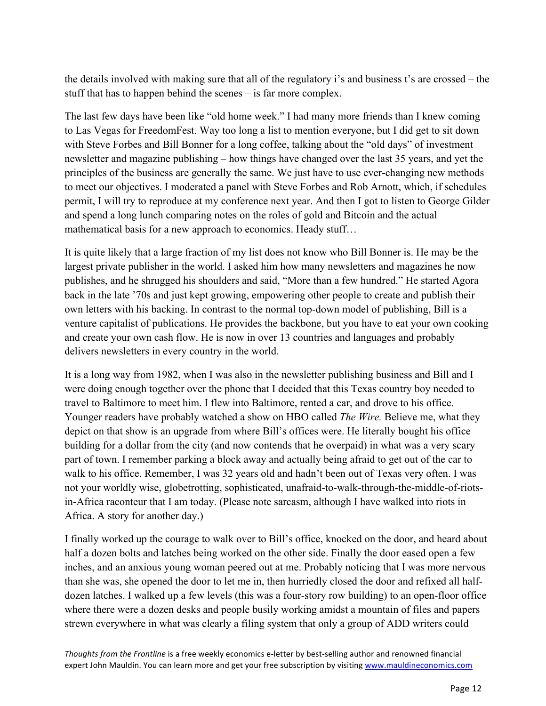the details involved with making sure that all of the regulatory i's and business t's are crossed – the stuff that has to happen behind the scenes – is far more complex.

The last few days have been like "old home week." I had many more friends than I knew coming to Las Vegas for FreedomFest. Way too long a list to mention everyone, but I did get to sit down with Steve Forbes and Bill Bonner for a long coffee, talking about the "old days" of investment newsletter and magazine publishing – how things have changed over the last 35 years, and yet the principles of the business are generally the same. We just have to use ever-changing new methods to meet our objectives. I moderated a panel with Steve Forbes and Rob Arnott, which, if schedules permit, I will try to reproduce at my conference next year. And then I got to listen to George Gilder and spend a long lunch comparing notes on the roles of gold and Bitcoin and the actual mathematical basis for a new approach to economics. Heady stuff…

It is quite likely that a large fraction of my list does not know who Bill Bonner is. He may be the largest private publisher in the world. I asked him how many newsletters and magazines he now publishes, and he shrugged his shoulders and said, "More than a few hundred." He started Agora back in the late '70s and just kept growing, empowering other people to create and publish their own letters with his backing. In contrast to the normal top-down model of publishing, Bill is a venture capitalist of publications. He provides the backbone, but you have to eat your own cooking and create your own cash flow. He is now in over 13 countries and languages and probably delivers newsletters in every country in the world.

It is a long way from 1982, when I was also in the newsletter publishing business and Bill and I were doing enough together over the phone that I decided that this Texas country boy needed to travel to Baltimore to meet him. I flew into Baltimore, rented a car, and drove to his office. Younger readers have probably watched a show on HBO called *The Wire.* Believe me, what they depict on that show is an upgrade from where Bill's offices were. He literally bought his office building for a dollar from the city (and now contends that he overpaid) in what was a very scary part of town. I remember parking a block away and actually being afraid to get out of the car to walk to his office. Remember, I was 32 years old and hadn't been out of Texas very often. I was not your worldly wise, globetrotting, sophisticated, unafraid-to-walk-through-the-middle-of-riotsin-Africa raconteur that I am today. (Please note sarcasm, although I have walked into riots in Africa. A story for another day.)

I finally worked up the courage to walk over to Bill's office, knocked on the door, and heard about half a dozen bolts and latches being worked on the other side. Finally the door eased open a few inches, and an anxious young woman peered out at me. Probably noticing that I was more nervous than she was, she opened the door to let me in, then hurriedly closed the door and refixed all halfdozen latches. I walked up a few levels (this was a four-story row building) to an open-floor office where there were a dozen desks and people busily working amidst a mountain of files and papers strewn everywhere in what was clearly a filing system that only a group of ADD writers could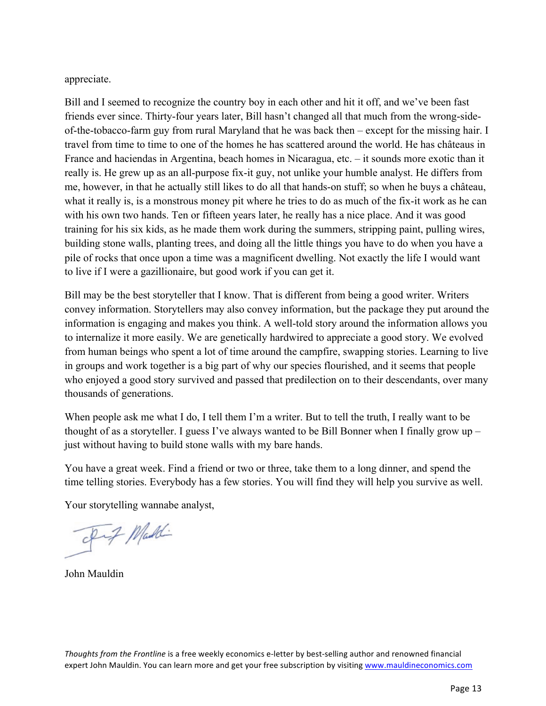appreciate.

Bill and I seemed to recognize the country boy in each other and hit it off, and we've been fast friends ever since. Thirty-four years later, Bill hasn't changed all that much from the wrong-sideof-the-tobacco-farm guy from rural Maryland that he was back then – except for the missing hair. I travel from time to time to one of the homes he has scattered around the world. He has châteaus in France and haciendas in Argentina, beach homes in Nicaragua, etc. – it sounds more exotic than it really is. He grew up as an all-purpose fix-it guy, not unlike your humble analyst. He differs from me, however, in that he actually still likes to do all that hands-on stuff; so when he buys a château, what it really is, is a monstrous money pit where he tries to do as much of the fix-it work as he can with his own two hands. Ten or fifteen years later, he really has a nice place. And it was good training for his six kids, as he made them work during the summers, stripping paint, pulling wires, building stone walls, planting trees, and doing all the little things you have to do when you have a pile of rocks that once upon a time was a magnificent dwelling. Not exactly the life I would want to live if I were a gazillionaire, but good work if you can get it.

Bill may be the best storyteller that I know. That is different from being a good writer. Writers convey information. Storytellers may also convey information, but the package they put around the information is engaging and makes you think. A well-told story around the information allows you to internalize it more easily. We are genetically hardwired to appreciate a good story. We evolved from human beings who spent a lot of time around the campfire, swapping stories. Learning to live in groups and work together is a big part of why our species flourished, and it seems that people who enjoyed a good story survived and passed that predilection on to their descendants, over many thousands of generations.

When people ask me what I do, I tell them I'm a writer. But to tell the truth, I really want to be thought of as a storyteller. I guess I've always wanted to be Bill Bonner when I finally grow up – just without having to build stone walls with my bare hands.

You have a great week. Find a friend or two or three, take them to a long dinner, and spend the time telling stories. Everybody has a few stories. You will find they will help you survive as well.

Your storytelling wannabe analyst,

Fif Maddi

John Mauldin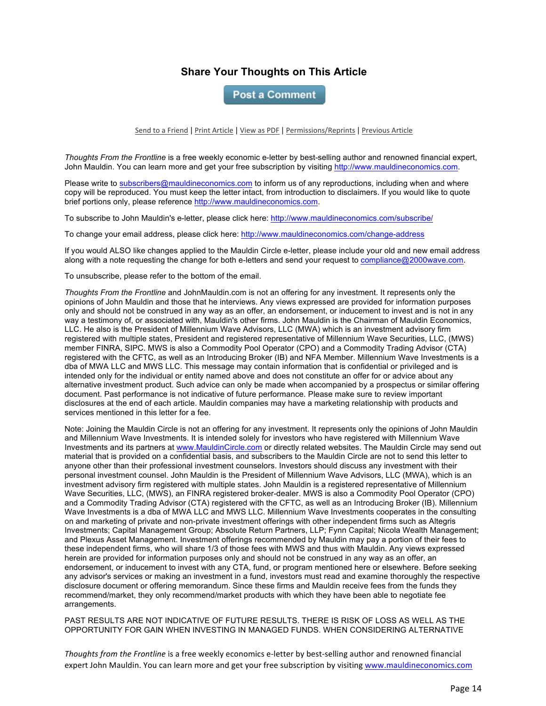#### **Share Your Thoughts on This Article**

**Post a Comment** 

Send to a Friend | Print Article | View as PDF | Permissions/Reprints | Previous Article

*Thoughts From the Frontline* is a free weekly economic e-letter by best-selling author and renowned financial expert, John Mauldin. You can learn more and get your free subscription by visiting http://www.mauldineconomics.com.

Please write to subscribers@mauldineconomics.com to inform us of any reproductions, including when and where copy will be reproduced. You must keep the letter intact, from introduction to disclaimers. If you would like to quote brief portions only, please reference http://www.mauldineconomics.com.

To subscribe to John Mauldin's e-letter, please click here: http://www.mauldineconomics.com/subscribe/

To change your email address, please click here: http://www.mauldineconomics.com/change-address

If you would ALSO like changes applied to the Mauldin Circle e-letter, please include your old and new email address along with a note requesting the change for both e-letters and send your request to compliance@2000wave.com.

To unsubscribe, please refer to the bottom of the email.

*Thoughts From the Frontline* and JohnMauldin.com is not an offering for any investment. It represents only the opinions of John Mauldin and those that he interviews. Any views expressed are provided for information purposes only and should not be construed in any way as an offer, an endorsement, or inducement to invest and is not in any way a testimony of, or associated with, Mauldin's other firms. John Mauldin is the Chairman of Mauldin Economics, LLC. He also is the President of Millennium Wave Advisors, LLC (MWA) which is an investment advisory firm registered with multiple states, President and registered representative of Millennium Wave Securities, LLC, (MWS) member FINRA, SIPC. MWS is also a Commodity Pool Operator (CPO) and a Commodity Trading Advisor (CTA) registered with the CFTC, as well as an Introducing Broker (IB) and NFA Member. Millennium Wave Investments is a dba of MWA LLC and MWS LLC. This message may contain information that is confidential or privileged and is intended only for the individual or entity named above and does not constitute an offer for or advice about any alternative investment product. Such advice can only be made when accompanied by a prospectus or similar offering document. Past performance is not indicative of future performance. Please make sure to review important disclosures at the end of each article. Mauldin companies may have a marketing relationship with products and services mentioned in this letter for a fee.

Note: Joining the Mauldin Circle is not an offering for any investment. It represents only the opinions of John Mauldin and Millennium Wave Investments. It is intended solely for investors who have registered with Millennium Wave Investments and its partners at www.MauldinCircle.com or directly related websites. The Mauldin Circle may send out material that is provided on a confidential basis, and subscribers to the Mauldin Circle are not to send this letter to anyone other than their professional investment counselors. Investors should discuss any investment with their personal investment counsel. John Mauldin is the President of Millennium Wave Advisors, LLC (MWA), which is an investment advisory firm registered with multiple states. John Mauldin is a registered representative of Millennium Wave Securities, LLC, (MWS), an FINRA registered broker-dealer. MWS is also a Commodity Pool Operator (CPO) and a Commodity Trading Advisor (CTA) registered with the CFTC, as well as an Introducing Broker (IB). Millennium Wave Investments is a dba of MWA LLC and MWS LLC. Millennium Wave Investments cooperates in the consulting on and marketing of private and non-private investment offerings with other independent firms such as Altegris Investments; Capital Management Group; Absolute Return Partners, LLP; Fynn Capital; Nicola Wealth Management; and Plexus Asset Management. Investment offerings recommended by Mauldin may pay a portion of their fees to these independent firms, who will share 1/3 of those fees with MWS and thus with Mauldin. Any views expressed herein are provided for information purposes only and should not be construed in any way as an offer, an endorsement, or inducement to invest with any CTA, fund, or program mentioned here or elsewhere. Before seeking any advisor's services or making an investment in a fund, investors must read and examine thoroughly the respective disclosure document or offering memorandum. Since these firms and Mauldin receive fees from the funds they recommend/market, they only recommend/market products with which they have been able to negotiate fee arrangements.

PAST RESULTS ARE NOT INDICATIVE OF FUTURE RESULTS. THERE IS RISK OF LOSS AS WELL AS THE OPPORTUNITY FOR GAIN WHEN INVESTING IN MANAGED FUNDS. WHEN CONSIDERING ALTERNATIVE